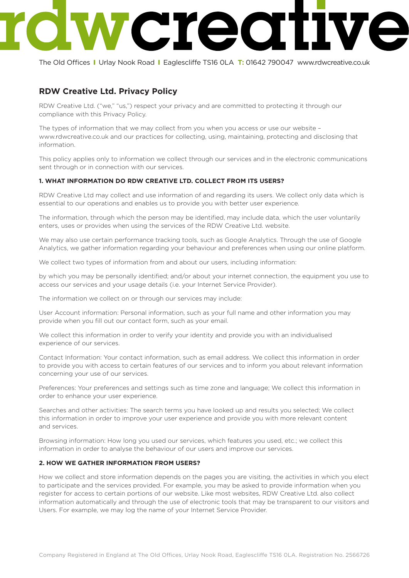# $\overline{\phantom{a}}$

The Old Offices I Urlay Nook Road I Eaglescliffe TS16 0LA **T:** 01642 790047 www.rdwcreative.co.uk

# **RDW Creative Ltd. Privacy Policy**

RDW Creative Ltd. ("we," "us,") respect your privacy and are committed to protecting it through our compliance with this Privacy Policy.

The types of information that we may collect from you when you access or use our website – www.rdwcreative.co.uk and our practices for collecting, using, maintaining, protecting and disclosing that information.

This policy applies only to information we collect through our services and in the electronic communications sent through or in connection with our services.

# **1. WHAT INFORMATION DO RDW CREATIVE LTD. COLLECT FROM ITS USERS?**

RDW Creative Ltd may collect and use information of and regarding its users. We collect only data which is essential to our operations and enables us to provide you with better user experience.

The information, through which the person may be identified, may include data, which the user voluntarily enters, uses or provides when using the services of the RDW Creative Ltd. website.

We may also use certain performance tracking tools, such as Google Analytics. Through the use of Google Analytics, we gather information regarding your behaviour and preferences when using our online platform.

We collect two types of information from and about our users, including information:

by which you may be personally identified; and/or about your internet connection, the equipment you use to access our services and your usage details (i.e. your Internet Service Provider).

The information we collect on or through our services may include:

User Account information: Personal information, such as your full name and other information you may provide when you fill out our contact form, such as your email.

We collect this information in order to verify your identity and provide you with an individualised experience of our services.

Contact Information: Your contact information, such as email address. We collect this information in order to provide you with access to certain features of our services and to inform you about relevant information concerning your use of our services.

Preferences: Your preferences and settings such as time zone and language; We collect this information in order to enhance your user experience.

Searches and other activities: The search terms you have looked up and results you selected; We collect this information in order to improve your user experience and provide you with more relevant content and services.

Browsing information: How long you used our services, which features you used, etc.; we collect this information in order to analyse the behaviour of our users and improve our services.

# **2. HOW WE GATHER INFORMATION FROM USERS?**

How we collect and store information depends on the pages you are visiting, the activities in which you elect to participate and the services provided. For example, you may be asked to provide information when you register for access to certain portions of our website. Like most websites, RDW Creative Ltd. also collect information automatically and through the use of electronic tools that may be transparent to our visitors and Users. For example, we may log the name of your Internet Service Provider.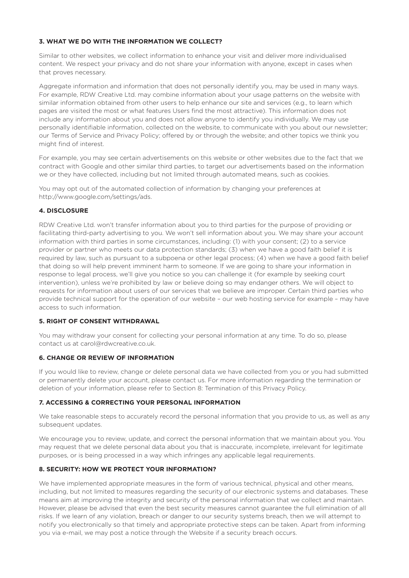#### **3. WHAT WE DO WITH THE INFORMATION WE COLLECT?**

Similar to other websites, we collect information to enhance your visit and deliver more individualised content. We respect your privacy and do not share your information with anyone, except in cases when that proves necessary.

Aggregate information and information that does not personally identify you, may be used in many ways. For example, RDW Creative Ltd. may combine information about your usage patterns on the website with similar information obtained from other users to help enhance our site and services (e.g., to learn which pages are visited the most or what features Users find the most attractive). This information does not include any information about you and does not allow anyone to identify you individually. We may use personally identifiable information, collected on the website, to communicate with you about our newsletter; our Terms of Service and Privacy Policy; offered by or through the website; and other topics we think you might find of interest.

For example, you may see certain advertisements on this website or other websites due to the fact that we contract with Google and other similar third parties, to target our advertisements based on the information we or they have collected, including but not limited through automated means, such as cookies.

You may opt out of the automated collection of information by changing your preferences at http://www.google.com/settings/ads.

#### **4. DISCLOSURE**

RDW Creative Ltd. won't transfer information about you to third parties for the purpose of providing or facilitating third-party advertising to you. We won't sell information about you. We may share your account information with third parties in some circumstances, including: (1) with your consent; (2) to a service provider or partner who meets our data protection standards; (3) when we have a good faith belief it is required by law, such as pursuant to a subpoena or other legal process; (4) when we have a good faith belief that doing so will help prevent imminent harm to someone. If we are going to share your information in response to legal process, we'll give you notice so you can challenge it (for example by seeking court intervention), unless we're prohibited by law or believe doing so may endanger others. We will object to requests for information about users of our services that we believe are improper. Certain third parties who provide technical support for the operation of our website – our web hosting service for example – may have access to such information.

#### **5. RIGHT OF CONSENT WITHDRAWAL**

You may withdraw your consent for collecting your personal information at any time. To do so, please contact us at carol@rdwcreative.co.uk.

#### **6. CHANGE OR REVIEW OF INFORMATION**

If you would like to review, change or delete personal data we have collected from you or you had submitted or permanently delete your account, please contact us. For more information regarding the termination or deletion of your information, please refer to Section 8: Termination of this Privacy Policy.

# **7. ACCESSING & CORRECTING YOUR PERSONAL INFORMATION**

We take reasonable steps to accurately record the personal information that you provide to us, as well as any subsequent updates.

We encourage you to review, update, and correct the personal information that we maintain about you. You may request that we delete personal data about you that is inaccurate, incomplete, irrelevant for legitimate purposes, or is being processed in a way which infringes any applicable legal requirements.

# **8. SECURITY: HOW WE PROTECT YOUR INFORMATION?**

We have implemented appropriate measures in the form of various technical, physical and other means, including, but not limited to measures regarding the security of our electronic systems and databases. These means aim at improving the integrity and security of the personal information that we collect and maintain. However, please be advised that even the best security measures cannot guarantee the full elimination of all risks. If we learn of any violation, breach or danger to our security systems breach, then we will attempt to notify you electronically so that timely and appropriate protective steps can be taken. Apart from informing you via e-mail, we may post a notice through the Website if a security breach occurs.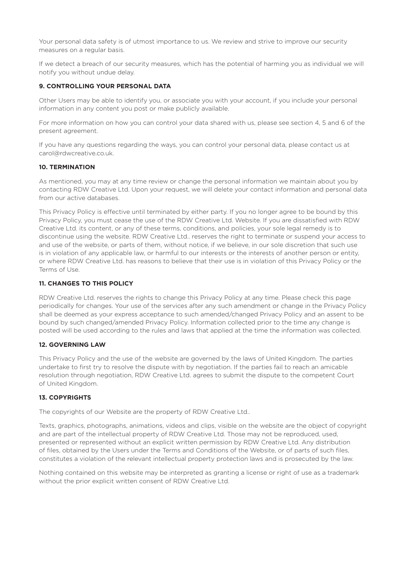Your personal data safety is of utmost importance to us. We review and strive to improve our security measures on a regular basis.

If we detect a breach of our security measures, which has the potential of harming you as individual we will notify you without undue delay.

#### **9. CONTROLLING YOUR PERSONAL DATA**

Other Users may be able to identify you, or associate you with your account, if you include your personal information in any content you post or make publicly available.

For more information on how you can control your data shared with us, please see section 4, 5 and 6 of the present agreement.

If you have any questions regarding the ways, you can control your personal data, please contact us at carol@rdwcreative.co.uk.

#### **10. TERMINATION**

As mentioned, you may at any time review or change the personal information we maintain about you by contacting RDW Creative Ltd. Upon your request, we will delete your contact information and personal data from our active databases.

This Privacy Policy is effective until terminated by either party. If you no longer agree to be bound by this Privacy Policy, you must cease the use of the RDW Creative Ltd. Website. If you are dissatisfied with RDW Creative Ltd. its content, or any of these terms, conditions, and policies, your sole legal remedy is to discontinue using the website. RDW Creative Ltd.. reserves the right to terminate or suspend your access to and use of the website, or parts of them, without notice, if we believe, in our sole discretion that such use is in violation of any applicable law, or harmful to our interests or the interests of another person or entity, or where RDW Creative Ltd. has reasons to believe that their use is in violation of this Privacy Policy or the Terms of Use.

# **11. CHANGES TO THIS POLICY**

RDW Creative Ltd. reserves the rights to change this Privacy Policy at any time. Please check this page periodically for changes. Your use of the services after any such amendment or change in the Privacy Policy shall be deemed as your express acceptance to such amended/changed Privacy Policy and an assent to be bound by such changed/amended Privacy Policy. Information collected prior to the time any change is posted will be used according to the rules and laws that applied at the time the information was collected.

# **12. GOVERNING LAW**

This Privacy Policy and the use of the website are governed by the laws of United Kingdom. The parties undertake to first try to resolve the dispute with by negotiation. If the parties fail to reach an amicable resolution through negotiation, RDW Creative Ltd. agrees to submit the dispute to the competent Court of United Kingdom.

#### **13. COPYRIGHTS**

The copyrights of our Website are the property of RDW Creative Ltd..

Texts, graphics, photographs, animations, videos and clips, visible on the website are the object of copyright and are part of the intellectual property of RDW Creative Ltd. Those may not be reproduced, used, presented or represented without an explicit written permission by RDW Creative Ltd. Any distribution of files, obtained by the Users under the Terms and Conditions of the Website, or of parts of such files, constitutes a violation of the relevant intellectual property protection laws and is prosecuted by the law.

Nothing contained on this website may be interpreted as granting a license or right of use as a trademark without the prior explicit written consent of RDW Creative Ltd.